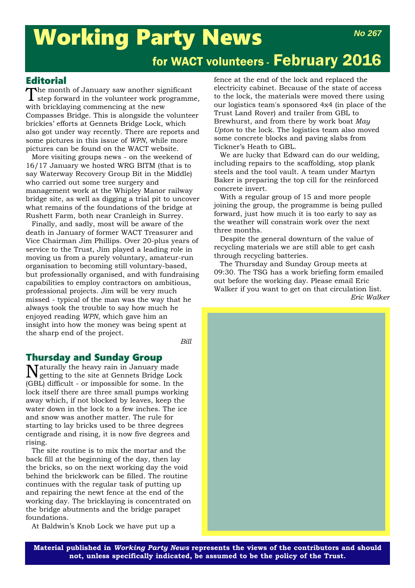# Working Party News for WACT volunteers - February 2016 *No 267*

# **Editorial**

The month of January saw another significant step forward in the volunteer work programme, with bricklaying commencing at the new Compasses Bridge. This is alongside the volunteer brickies' efforts at Gennets Bridge Lock, which also got under way recently. There are reports and some pictures in this issue of *WPN*, while more pictures can be found on the WACT website.

More visiting groups news - on the weekend of 16/17 January we hosted WRG BITM (that is to say Waterway Recovery Group Bit in the Middle) who carried out some tree surgery and management work at the Whipley Manor railway bridge site, as well as digging a trial pit to uncover what remains of the foundations of the bridge at Rushett Farm, both near Cranleigh in Surrey.

Finally, and sadly, most will be aware of the death in January of former WACT Treasurer and Vice Chairman Jim Phillips. Over 20-plus years of service to the Trust, Jim played a leading role in moving us from a purely voluntary, amateur-run organisation to becoming still voluntary-based, but professionally organised, and with fundraising capabilities to employ contractors on ambitious, professional projects. Jim will be very much missed - typical of the man was the way that he always took the trouble to say how much he enjoyed reading *WPN*, which gave him an insight into how the money was being spent at the sharp end of the project.

*Bill*

## Thursday and Sunday Group

Naturally the heavy rain in January made getting to the site at Gennets Bridge Lock (GBL) difficult - or impossible for some. In the lock itself there are three small pumps working away which, if not blocked by leaves, keep the water down in the lock to a few inches. The ice and snow was another matter. The rule for starting to lay bricks used to be three degrees centigrade and rising, it is now five degrees and rising.

The site routine is to mix the mortar and the back fill at the beginning of the day, then lay the bricks, so on the next working day the void behind the brickwork can be filled. The routine continues with the regular task of putting up and repairing the newt fence at the end of the working day. The bricklaying is concentrated on the bridge abutments and the bridge parapet foundations.

At Baldwin's Knob Lock we have put up a

fence at the end of the lock and replaced the electricity cabinet. Because of the state of access to the lock, the materials were moved there using our logistics team's sponsored 4x4 (in place of the Trust Land Rover) and trailer from GBL to Brewhurst, and from there by work boat *May Upton* to the lock. The logistics team also moved some concrete blocks and paving slabs from Tickner's Heath to GBL.

We are lucky that Edward can do our welding, including repairs to the scaffolding, stop plank steels and the tool vault. A team under Martyn Baker is preparing the top cill for the reinforced concrete invert.

With a regular group of 15 and more people joining the group, the programme is being pulled forward, just how much it is too early to say as the weather will constrain work over the next three months.

Despite the general downturn of the value of recycling materials we are still able to get cash through recycling batteries.

The Thursday and Sunday Group meets at 09:30. The TSG has a work briefing form emailed out before the working day. Please email Eric Walker if you want to get on that circulation list. *Eric Walker*



**Material published in** *Working Party News* **represents the views of the contributors and should not, unless specifically indicated, be assumed to be the policy of the Trust.**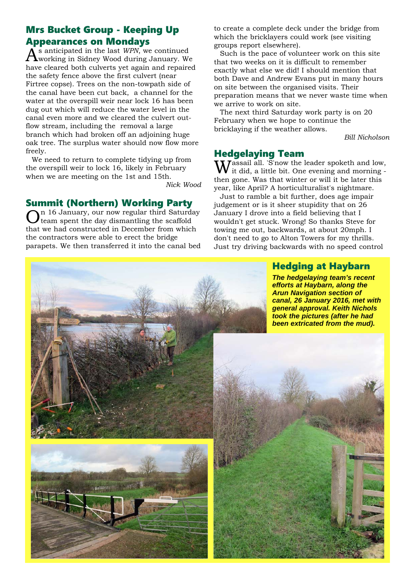# Mrs Bucket Group - Keeping Up **Appearances on Mondays**<br>A s anticipated in the last  $WPN$ , we continued

 $\tilde{A}^{\rm s}$  anticipated in the last *WPN*, we continued working in Sidney Wood during January. We have cleared both culverts yet again and repaired the safety fence above the first culvert (near Firtree copse). Trees on the non-towpath side of the canal have been cut back, a channel for the water at the overspill weir near lock 16 has been dug out which will reduce the water level in the canal even more and we cleared the culvert outflow stream, including the removal a large branch which had broken off an adjoining huge oak tree. The surplus water should now flow more freely.

We need to return to complete tidying up from the overspill weir to lock 16, likely in February when we are meeting on the 1st and 15th.

*Nick Wood*

# Summit (Northern) Working Party

n 16 January, our now regular third Saturday team spent the day dismantling the scaffold that we had constructed in December from which the contractors were able to erect the bridge parapets. We then transferred it into the canal bed to create a complete deck under the bridge from which the bricklayers could work (see visiting groups report elsewhere).

Such is the pace of volunteer work on this site that two weeks on it is difficult to remember exactly what else we did! I should mention that both Dave and Andrew Evans put in many hours on site between the organised visits. Their preparation means that we never waste time when we arrive to work on site.

The next third Saturday work party is on 20 February when we hope to continue the bricklaying if the weather allows.

*Bill Nicholson* 

#### Hedgelaying Team

 $\rm W$ assail all. 'S'now the leader spoketh and low, it did, a little bit. One evening and morning then gone. Was that winter or will it be later this year, like April? A horticulturalist's nightmare.

Just to ramble a bit further, does age impair judgement or is it sheer stupidity that on 26 January I drove into a field believing that I wouldn't get stuck. Wrong! So thanks Steve for towing me out, backwards, at about 20mph. I don't need to go to Alton Towers for my thrills. Just try driving backwards with no speed control

# Hedging at Haybarn

*The hedgelaying team's recent efforts at Haybarn, along the Arun Navigation section of canal, 26 January 2016, met with general approval. Keith Nichols took the pictures (after he had been extricated from the mud).*

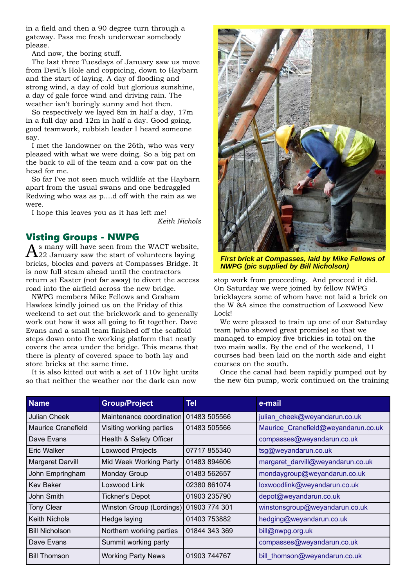in a field and then a 90 degree turn through a gateway. Pass me fresh underwear somebody please.

And now, the boring stuff.

The last three Tuesdays of January saw us move from Devil's Hole and coppicing, down to Haybarn and the start of laying. A day of flooding and strong wind, a day of cold but glorious sunshine, a day of gale force wind and driving rain. The weather isn't boringly sunny and hot then.

So respectively we layed 8m in half a day, 17m in a full day and 12m in half a day. Good going, good teamwork, rubbish leader I heard someone say.

I met the landowner on the 26th, who was very pleased with what we were doing. So a big pat on the back to all of the team and a cow pat on the head for me.

So far I've not seen much wildlife at the Haybarn apart from the usual swans and one bedraggled Redwing who was as p....d off with the rain as we were.

I hope this leaves you as it has left me!

*Keith Nichols*

#### Visting Groups - NWPG

As many will have seen from the WACT website, 22 January saw the start of volunteers laying bricks, blocks and pavers at Compasses Bridge. It is now full steam ahead until the contractors return at Easter (not far away) to divert the access road into the airfield across the new bridge.

NWPG members Mike Fellows and Graham Hawkes kindly joined us on the Friday of this weekend to set out the brickwork and to generally work out how it was all going to fit together. Dave Evans and a small team finished off the scaffold steps down onto the working platform that neatly covers the area under the bridge. This means that there is plenty of covered space to both lay and store bricks at the same time.

It is also kitted out with a set of 110v light units so that neither the weather nor the dark can now



*First brick at Compasses, laid by Mike Fellows of NWPG (pic supplied by Bill Nicholson)*

stop work from proceeding. And proceed it did. On Saturday we were joined by fellow NWPG bricklayers some of whom have not laid a brick on the W &A since the construction of Loxwood New Lock!

We were pleased to train up one of our Saturday team (who showed great promise) so that we managed to employ five brickies in total on the two main walls. By the end of the weekend, 11 courses had been laid on the north side and eight courses on the south.

Once the canal had been rapidly pumped out by the new 6in pump, work continued on the training

| <b>Name</b>           | <b>Group/Project</b>      | Tel           | e-mail                              |
|-----------------------|---------------------------|---------------|-------------------------------------|
| Julian Cheek          | Maintenance coordination  | 01483 505566  | julian cheek@weyandarun.co.uk       |
| Maurice Cranefield    | Visiting working parties  | 01483 505566  | Maurice_Cranefield@weyandarun.co.uk |
| Dave Evans            | Health & Safety Officer   |               | compasses@weyandarun.co.uk          |
| Eric Walker           | Loxwood Projects          | 07717855340   | tsg@weyandarun.co.uk                |
| Margaret Darvill      | Mid Week Working Party    | 01483 894606  | margaret_darvill@weyandarun.co.uk   |
| John Empringham       | <b>Monday Group</b>       | 01483 562657  | mondaygroup@weyandarun.co.uk        |
| <b>Kev Baker</b>      | Loxwood Link              | 02380 861074  | loxwoodlink@weyandarun.co.uk        |
| John Smith            | <b>Tickner's Depot</b>    | 01903 235790  | depot@weyandarun.co.uk              |
| <b>Tony Clear</b>     | Winston Group (Lordings)  | 01903 774 301 | winstonsgroup@weyandarun.co.uk      |
| <b>Keith Nichols</b>  | Hedge laying              | 01403 753882  | hedging@weyandarun.co.uk            |
| <b>Bill Nicholson</b> | Northern working parties  | 01844 343 369 | bill@nwpg.org.uk                    |
| Dave Evans            | Summit working party      |               | compasses@weyandarun.co.uk          |
| <b>Bill Thomson</b>   | <b>Working Party News</b> | 01903 744767  | bill_thomson@weyandarun.co.uk       |